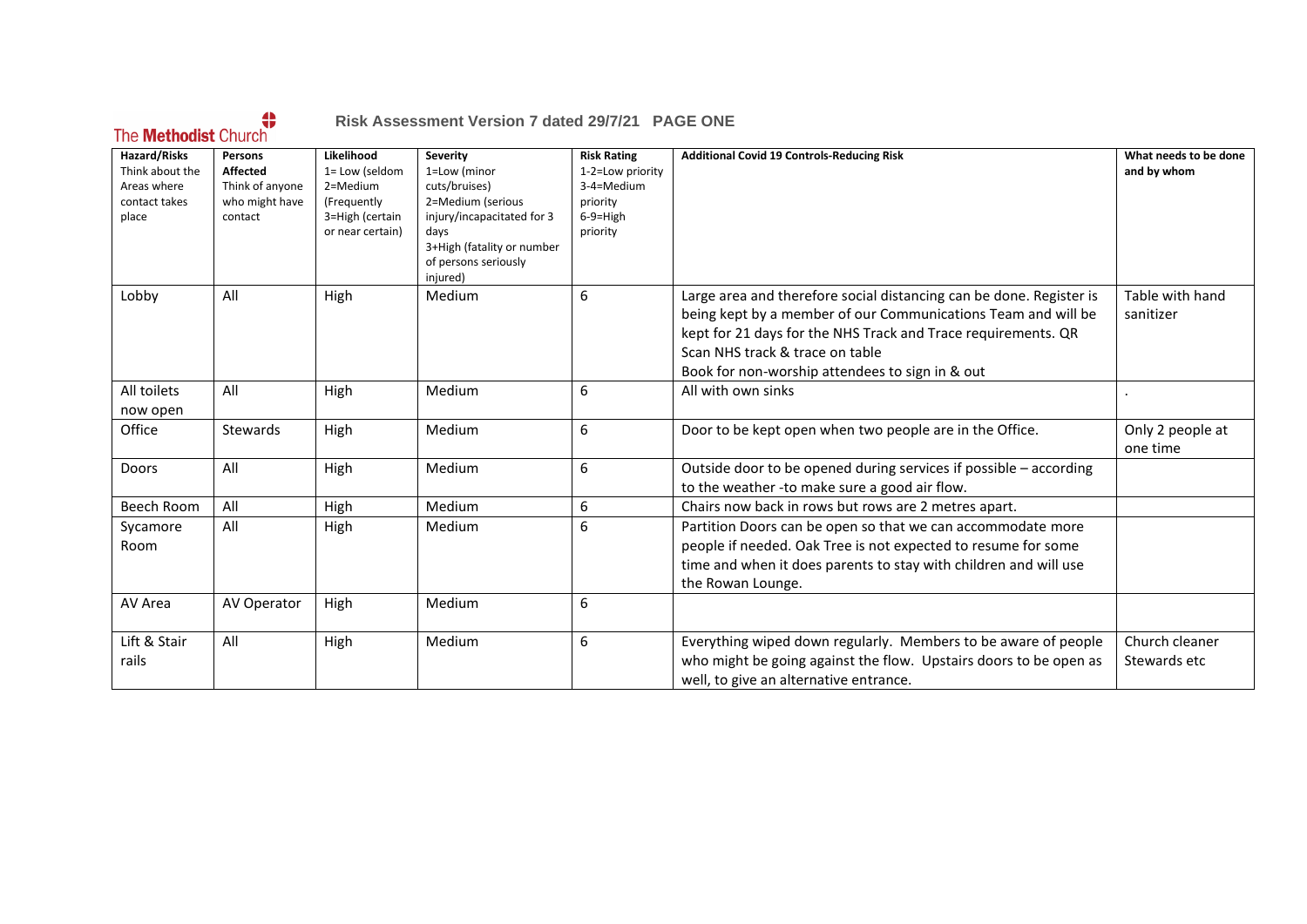## The **Methodist** Church

#### **Risk Assessment Version 7 dated 29/7/21 PAGE ONE**

| Hazard/Risks    | <b>Persons</b>  | Likelihood       | <b>Severity</b>            | <b>Risk Rating</b> | <b>Additional Covid 19 Controls-Reducing Risk</b>                   | What needs to be done |
|-----------------|-----------------|------------------|----------------------------|--------------------|---------------------------------------------------------------------|-----------------------|
| Think about the | <b>Affected</b> | 1= Low (seldom   | 1=Low (minor               | 1-2=Low priority   |                                                                     | and by whom           |
| Areas where     | Think of anyone | 2=Medium         | cuts/bruises)              | 3-4=Medium         |                                                                     |                       |
| contact takes   | who might have  | (Frequently      | 2=Medium (serious          | priority           |                                                                     |                       |
| place           | contact         | 3=High (certain  | injury/incapacitated for 3 | $6-9=$ High        |                                                                     |                       |
|                 |                 | or near certain) | days                       | priority           |                                                                     |                       |
|                 |                 |                  | 3+High (fatality or number |                    |                                                                     |                       |
|                 |                 |                  | of persons seriously       |                    |                                                                     |                       |
|                 |                 |                  | injured)                   |                    |                                                                     |                       |
| Lobby           | All             | High             | Medium                     | 6                  | Large area and therefore social distancing can be done. Register is | Table with hand       |
|                 |                 |                  |                            |                    | being kept by a member of our Communications Team and will be       | sanitizer             |
|                 |                 |                  |                            |                    | kept for 21 days for the NHS Track and Trace requirements. QR       |                       |
|                 |                 |                  |                            |                    | Scan NHS track & trace on table                                     |                       |
|                 |                 |                  |                            |                    | Book for non-worship attendees to sign in & out                     |                       |
| All toilets     | All             | High             | Medium                     | 6                  | All with own sinks                                                  |                       |
| now open        |                 |                  |                            |                    |                                                                     |                       |
| Office          | <b>Stewards</b> | High             | Medium                     | 6                  | Door to be kept open when two people are in the Office.             | Only 2 people at      |
|                 |                 |                  |                            |                    |                                                                     | one time              |
| Doors           | All             | High             | Medium                     | 6                  | Outside door to be opened during services if possible - according   |                       |
|                 |                 |                  |                            |                    | to the weather -to make sure a good air flow.                       |                       |
|                 |                 |                  |                            |                    |                                                                     |                       |
| Beech Room      | All             | High             | Medium                     | 6                  | Chairs now back in rows but rows are 2 metres apart.                |                       |
| Sycamore        | All             | High             | Medium                     | 6                  | Partition Doors can be open so that we can accommodate more         |                       |
| Room            |                 |                  |                            |                    | people if needed. Oak Tree is not expected to resume for some       |                       |
|                 |                 |                  |                            |                    | time and when it does parents to stay with children and will use    |                       |
|                 |                 |                  |                            |                    | the Rowan Lounge.                                                   |                       |
| AV Area         | AV Operator     | High             | Medium                     | 6                  |                                                                     |                       |
|                 |                 |                  |                            |                    |                                                                     |                       |
| Lift & Stair    | All             | High             | Medium                     | 6                  | Everything wiped down regularly. Members to be aware of people      | Church cleaner        |
| rails           |                 |                  |                            |                    | who might be going against the flow. Upstairs doors to be open as   | Stewards etc          |
|                 |                 |                  |                            |                    | well, to give an alternative entrance.                              |                       |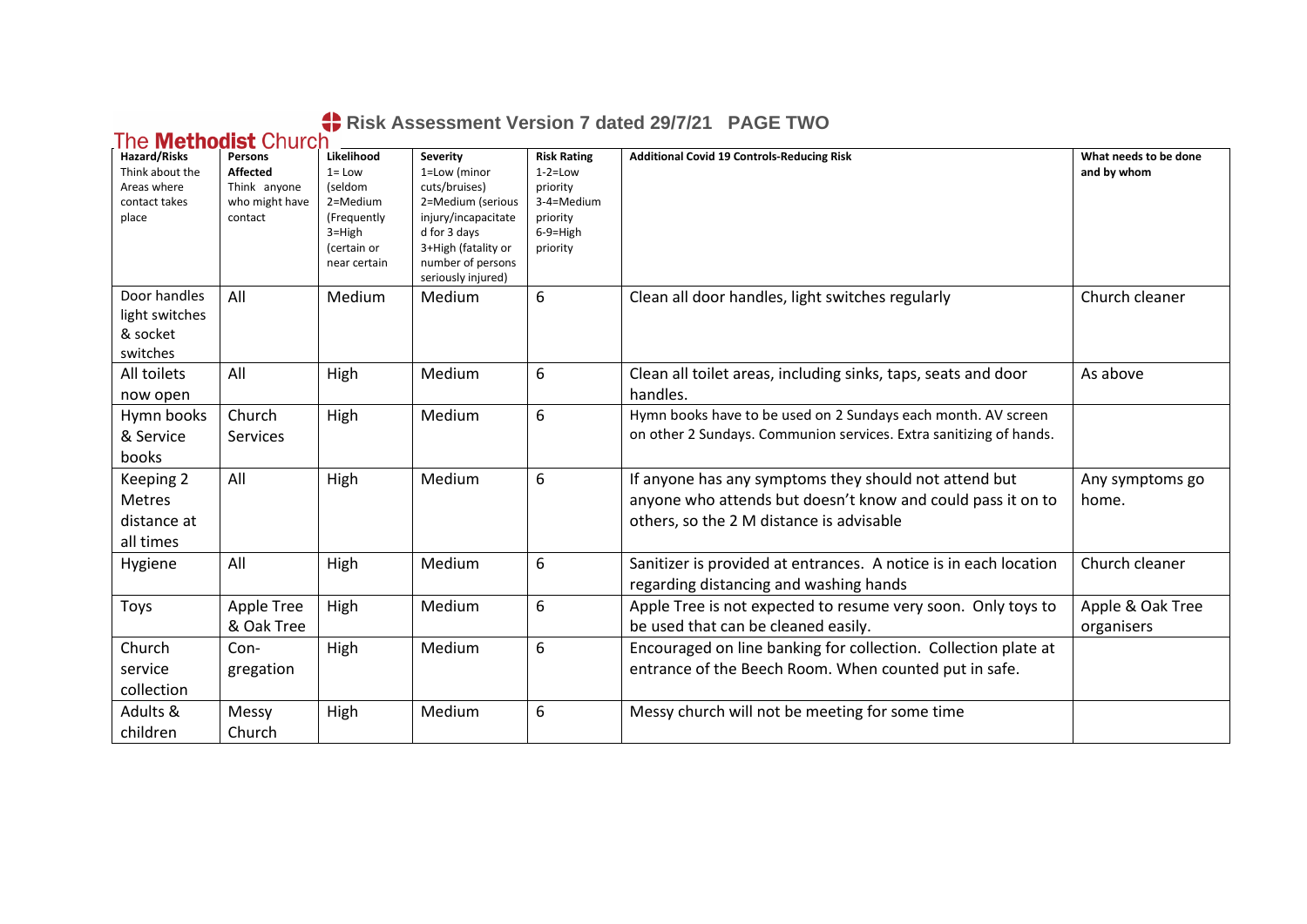# **Risk Assessment Version 7 dated 29/7/21 PAGE TWO**

| <b>Hazard/Risks</b><br>Think about the<br>Areas where<br>contact takes<br>place | <u><b>TIC MCMONISL VIIDIUI</b></u><br>Persons<br><b>Affected</b><br>Think anyone<br>who might have<br>contact | Likelihood<br>$1 = Low$<br>(seldom<br>2=Medium<br>(Frequently<br>$3 = High$ | <b>Severity</b><br>1=Low (minor<br>cuts/bruises)<br>2=Medium (serious<br>injury/incapacitate<br>d for 3 days | <b>Risk Rating</b><br>$1-2=$ Low<br>priority<br>3-4=Medium<br>priority<br>$6-9=$ High | <b>Additional Covid 19 Controls-Reducing Risk</b>                                                                                                                | What needs to be done<br>and by whom |
|---------------------------------------------------------------------------------|---------------------------------------------------------------------------------------------------------------|-----------------------------------------------------------------------------|--------------------------------------------------------------------------------------------------------------|---------------------------------------------------------------------------------------|------------------------------------------------------------------------------------------------------------------------------------------------------------------|--------------------------------------|
|                                                                                 |                                                                                                               | (certain or<br>near certain                                                 | 3+High (fatality or<br>number of persons<br>seriously injured)                                               | priority                                                                              |                                                                                                                                                                  |                                      |
| Door handles<br>light switches<br>& socket<br>switches                          | All                                                                                                           | Medium                                                                      | Medium                                                                                                       | 6                                                                                     | Clean all door handles, light switches regularly                                                                                                                 | Church cleaner                       |
| All toilets<br>now open                                                         | All                                                                                                           | High                                                                        | Medium                                                                                                       | 6                                                                                     | Clean all toilet areas, including sinks, taps, seats and door<br>handles.                                                                                        | As above                             |
| Hymn books<br>& Service<br>books                                                | Church<br>Services                                                                                            | High                                                                        | Medium                                                                                                       | 6                                                                                     | Hymn books have to be used on 2 Sundays each month. AV screen<br>on other 2 Sundays. Communion services. Extra sanitizing of hands.                              |                                      |
| Keeping 2<br>Metres<br>distance at<br>all times                                 | All                                                                                                           | High                                                                        | Medium                                                                                                       | 6                                                                                     | If anyone has any symptoms they should not attend but<br>anyone who attends but doesn't know and could pass it on to<br>others, so the 2 M distance is advisable | Any symptoms go<br>home.             |
| Hygiene                                                                         | All                                                                                                           | High                                                                        | Medium                                                                                                       | 6                                                                                     | Sanitizer is provided at entrances. A notice is in each location<br>regarding distancing and washing hands                                                       | Church cleaner                       |
| Toys                                                                            | <b>Apple Tree</b><br>& Oak Tree                                                                               | High                                                                        | Medium                                                                                                       | 6                                                                                     | Apple Tree is not expected to resume very soon. Only toys to<br>be used that can be cleaned easily.                                                              | Apple & Oak Tree<br>organisers       |
| Church<br>service<br>collection                                                 | Con-<br>gregation                                                                                             | High                                                                        | Medium                                                                                                       | 6                                                                                     | Encouraged on line banking for collection. Collection plate at<br>entrance of the Beech Room. When counted put in safe.                                          |                                      |
| Adults &<br>children                                                            | Messy<br>Church                                                                                               | High                                                                        | Medium                                                                                                       | 6                                                                                     | Messy church will not be meeting for some time                                                                                                                   |                                      |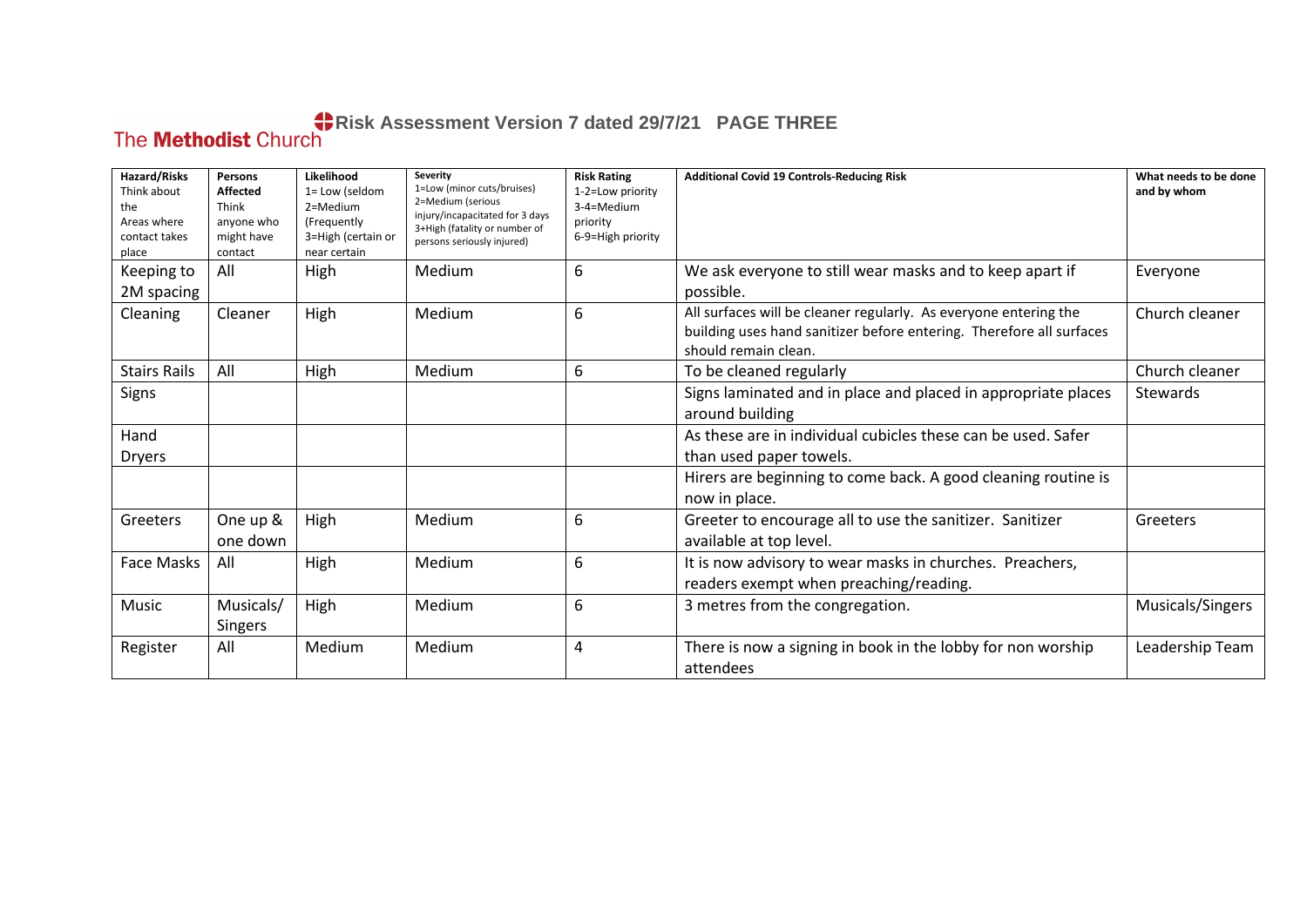## **Risk Assessment Version 7 dated 29/7/21 PAGE THREE**

| Hazard/Risks<br>Think about<br>the<br>Areas where<br>contact takes<br>place | Persons<br><b>Affected</b><br>Think<br>anyone who<br>might have<br>contact | Likelihood<br>1= Low (seldom<br>2=Medium<br>(Frequently<br>3=High (certain or<br>near certain | Severity<br>1=Low (minor cuts/bruises)<br>2=Medium (serious<br>injury/incapacitated for 3 days<br>3+High (fatality or number of<br>persons seriously injured) | <b>Risk Rating</b><br>1-2=Low priority<br>3-4=Medium<br>priority<br>6-9=High priority | <b>Additional Covid 19 Controls-Reducing Risk</b>                                                                                                                | What needs to be done<br>and by whom |
|-----------------------------------------------------------------------------|----------------------------------------------------------------------------|-----------------------------------------------------------------------------------------------|---------------------------------------------------------------------------------------------------------------------------------------------------------------|---------------------------------------------------------------------------------------|------------------------------------------------------------------------------------------------------------------------------------------------------------------|--------------------------------------|
| Keeping to<br>2M spacing                                                    | All                                                                        | High                                                                                          | Medium                                                                                                                                                        | 6                                                                                     | We ask everyone to still wear masks and to keep apart if<br>possible.                                                                                            | Everyone                             |
| Cleaning                                                                    | Cleaner                                                                    | High                                                                                          | Medium                                                                                                                                                        | 6                                                                                     | All surfaces will be cleaner regularly. As everyone entering the<br>building uses hand sanitizer before entering. Therefore all surfaces<br>should remain clean. | Church cleaner                       |
| <b>Stairs Rails</b>                                                         | All                                                                        | High                                                                                          | Medium                                                                                                                                                        | 6                                                                                     | To be cleaned regularly                                                                                                                                          | Church cleaner                       |
| Signs                                                                       |                                                                            |                                                                                               |                                                                                                                                                               |                                                                                       | Signs laminated and in place and placed in appropriate places<br>around building                                                                                 | <b>Stewards</b>                      |
| Hand                                                                        |                                                                            |                                                                                               |                                                                                                                                                               |                                                                                       | As these are in individual cubicles these can be used. Safer                                                                                                     |                                      |
| <b>Dryers</b>                                                               |                                                                            |                                                                                               |                                                                                                                                                               |                                                                                       | than used paper towels.                                                                                                                                          |                                      |
|                                                                             |                                                                            |                                                                                               |                                                                                                                                                               |                                                                                       | Hirers are beginning to come back. A good cleaning routine is<br>now in place.                                                                                   |                                      |
| Greeters                                                                    | One up &<br>one down                                                       | High                                                                                          | Medium                                                                                                                                                        | 6                                                                                     | Greeter to encourage all to use the sanitizer. Sanitizer<br>available at top level.                                                                              | Greeters                             |
| Face Masks                                                                  | All                                                                        | High                                                                                          | Medium                                                                                                                                                        | 6                                                                                     | It is now advisory to wear masks in churches. Preachers,<br>readers exempt when preaching/reading.                                                               |                                      |
| Music                                                                       | Musicals/<br>Singers                                                       | High                                                                                          | Medium                                                                                                                                                        | 6                                                                                     | 3 metres from the congregation.                                                                                                                                  | Musicals/Singers                     |
| Register                                                                    | All                                                                        | Medium                                                                                        | Medium                                                                                                                                                        | 4                                                                                     | There is now a signing in book in the lobby for non worship<br>attendees                                                                                         | Leadership Team                      |